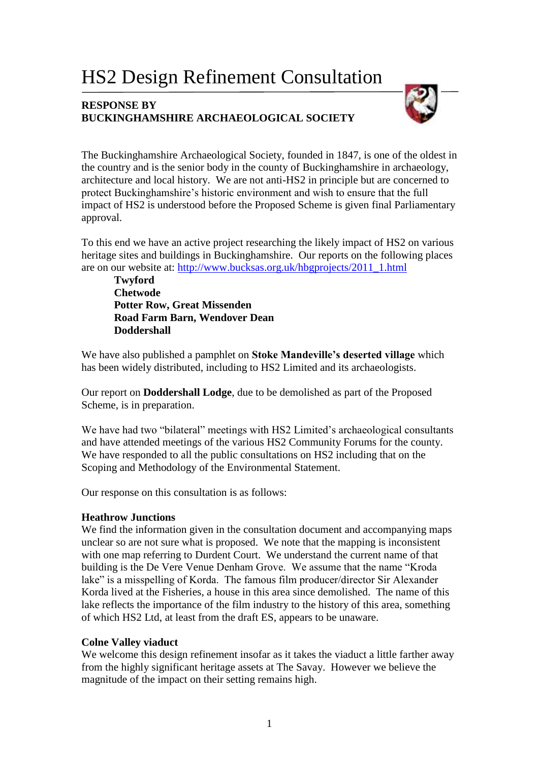# HS2 Design Refinement Consultation

## **RESPONSE BY BUCKINGHAMSHIRE ARCHAEOLOGICAL SOCIETY**



The Buckinghamshire Archaeological Society, founded in 1847, is one of the oldest in the country and is the senior body in the county of Buckinghamshire in archaeology, architecture and local history. We are not anti-HS2 in principle but are concerned to protect Buckinghamshire's historic environment and wish to ensure that the full impact of HS2 is understood before the Proposed Scheme is given final Parliamentary approval.

To this end we have an active project researching the likely impact of HS2 on various heritage sites and buildings in Buckinghamshire. Our reports on the following places are on our website at: [http://www.bucksas.org.uk/hbgprojects/2011\\_1.html](http://www.bucksas.org.uk/hbgprojects/2011_1.html)

**Twyford Chetwode Potter Row, Great Missenden Road Farm Barn, Wendover Dean Doddershall**

We have also published a pamphlet on **Stoke Mandeville's deserted village** which has been widely distributed, including to HS2 Limited and its archaeologists.

Our report on **Doddershall Lodge**, due to be demolished as part of the Proposed Scheme, is in preparation.

We have had two "bilateral" meetings with HS2 Limited's archaeological consultants and have attended meetings of the various HS2 Community Forums for the county. We have responded to all the public consultations on HS2 including that on the Scoping and Methodology of the Environmental Statement.

Our response on this consultation is as follows:

## **Heathrow Junctions**

We find the information given in the consultation document and accompanying maps unclear so are not sure what is proposed. We note that the mapping is inconsistent with one map referring to Durdent Court. We understand the current name of that building is the De Vere Venue Denham Grove. We assume that the name "Kroda lake" is a misspelling of Korda. The famous film producer/director Sir Alexander Korda lived at the Fisheries, a house in this area since demolished. The name of this lake reflects the importance of the film industry to the history of this area, something of which HS2 Ltd, at least from the draft ES, appears to be unaware.

## **Colne Valley viaduct**

We welcome this design refinement insofar as it takes the viaduct a little farther away from the highly significant heritage assets at The Savay. However we believe the magnitude of the impact on their setting remains high.